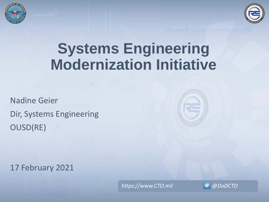



# **Systems Engineering Modernization Initiative**

Nadine Geier Dir, Systems Engineering OUSD(RE)



17 February 2021

*https://www.CTO.mil @DoDCTO*

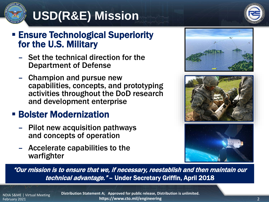# **USD(R&E) Mission**



#### **Ensure Technological Superiority** for the U.S. Military

- Set the technical direction for the Department of Defense
- Champion and pursue new capabilities, concepts, and prototyping activities throughout the DoD research and development enterprise

#### **E** Bolster Modernization

- Pilot new acquisition pathways and concepts of operation
- Accelerate capabilities to the warfighter







"Our mission is to ensure that we, if necessary, reestablish and then maintain our technical advantage." – Under Secretary Griffin, April 2018

NDIA S&ME | Virtual Meeting February 2021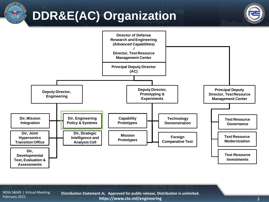# **DDR&E(AC) Organization**





NDIA S&ME | Virtual Meeting February 2021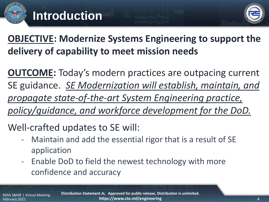

**OBJECTIVE: Modernize Systems Engineering to support the delivery of capability to meet mission needs**

**OUTCOME:** Today's modern practices are outpacing current SE guidance. *SE Modernization will establish, maintain, and propagate state-of-the-art System Engineering practice, policy/guidance, and workforce development for the DoD.*

Well-crafted updates to SE will:

- Maintain and add the essential rigor that is a result of SE application
- Enable DoD to field the newest technology with more confidence and accuracy

NDIA S&ME | Virtual Meeting February 2021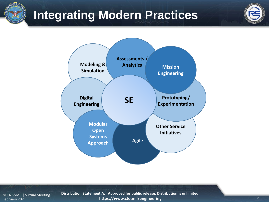### **Integrating Modern Practices**



NDIA S&ME | Virtual Meeting February 2021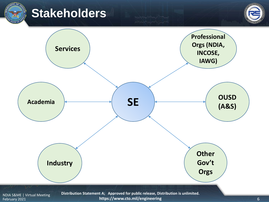

#### **Stakeholders**



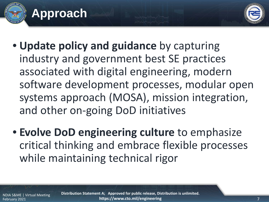



- **Update policy and guidance** by capturing industry and government best SE practices associated with digital engineering, modern software development processes, modular open systems approach (MOSA), mission integration, and other on-going DoD initiatives
- **Evolve DoD engineering culture** to emphasize critical thinking and embrace flexible processes while maintaining technical rigor

NDIA S&ME | Virtual Meeting February 2021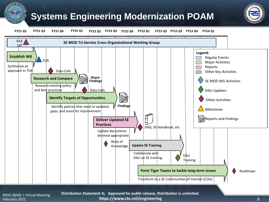#### **Systems Engineering Modernization POAM**



**FY21 Q2 FY21 Q4 FY22 Q2 FY21 Q3 FY22 Q1 FY22 Q3 FY22 Q4 FY23 Q1 FY23 Q2 FY23 Q3 FY23 Q4 FY24 Q1**



NDIA S&ME | Virtual Meeting February 2021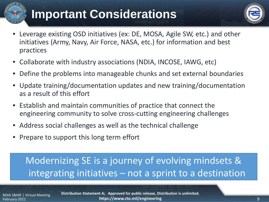## **Important Considerations**



- Leverage existing OSD initiatives (ex: DE, MOSA, Agile SW, etc.) and other initiatives (Army, Navy, Air Force, NASA, etc.) for information and best practices
- Collaborate with industry associations (NDIA, INCOSE, IAWG, etc)
- Define the problems into manageable chunks and set external boundaries
- Update training/documentation updates and new training/documentation as a result of this effort
- Establish and maintain communities of practice that connect the engineering community to solve cross-cutting engineering challenges
- Address social challenges as well as the technical challenge
- Prepare to support this long term effort

#### Modernizing SE is a journey of evolving mindsets & integrating initiatives – not a sprint to a destination

NDIA S&ME | Virtual Meeting February 2021